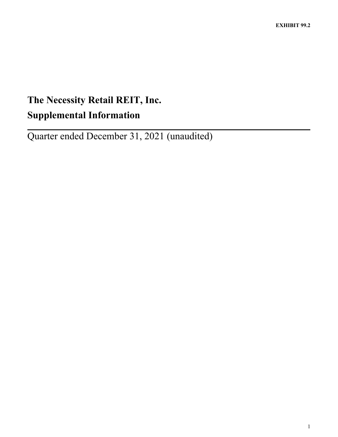# **The Necessity Retail REIT, Inc. Supplemental Information**

Quarter ended December 31, 2021 (unaudited)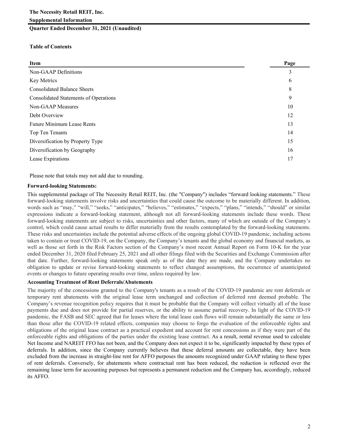### **Quarter Ended December 31, 2021 (Unaudited)**

### **Table of Contents**

| Item                                         | Page |
|----------------------------------------------|------|
| Non-GAAP Definitions                         | 3    |
| Key Metrics                                  | 6    |
| <b>Consolidated Balance Sheets</b>           | 8    |
| <b>Consolidated Statements of Operations</b> | 9    |
| Non-GAAP Measures                            | 10   |
| Debt Overview                                | 12   |
| <b>Future Minimum Lease Rents</b>            | 13   |
| Top Ten Tenants                              | 14   |
| Diversification by Property Type             | 15   |
| Diversification by Geography                 | 16   |
| Lease Expirations                            | 17   |

Please note that totals may not add due to rounding.

### **Forward-looking Statements:**

This supplemental package of The Necessity Retail REIT, Inc. (the "Company") includes "forward looking statements." These forward-looking statements involve risks and uncertainties that could cause the outcome to be materially different. In addition, words such as "may," "will," "seeks," "anticipates," "believes," "estimates," "expects," "plans," "intends," "should" or similar expressions indicate a forward-looking statement, although not all forward-looking statements include these words. These forward-looking statements are subject to risks, uncertainties and other factors, many of which are outside of the Company's control, which could cause actual results to differ materially from the results contemplated by the forward-looking statements. These risks and uncertainties include the potential adverse effects of the ongoing global COVID-19 pandemic, including actions taken to contain or treat COVID-19, on the Company, the Company's tenants and the global economy and financial markets, as well as those set forth in the Risk Factors section of the Company's most recent Annual Report on Form 10-K for the year ended December 31, 2020 filed February 25, 2021 and all other filings filed with the Securities and Exchange Commission after that date. Further, forward-looking statements speak only as of the date they are made, and the Company undertakes no obligation to update or revise forward-looking statements to reflect changed assumptions, the occurrence of unanticipated events or changes to future operating results over time, unless required by law.

### **Accounting Treatment of Rent Deferrals/Abatements**

The majority of the concessions granted to the Company's tenants as a result of the COVID-19 pandemic are rent deferrals or temporary rent abatements with the original lease term unchanged and collection of deferred rent deemed probable. The Company's revenue recognition policy requires that it must be probable that the Company will collect virtually all of the lease payments due and does not provide for partial reserves, or the ability to assume partial recovery. In light of the COVID-19 pandemic, the FASB and SEC agreed that for leases where the total lease cash flows will remain substantially the same or less than those after the COVID-19 related effects, companies may choose to forgo the evaluation of the enforceable rights and obligations of the original lease contract as a practical expedient and account for rent concessions as if they were part of the enforceable rights and obligations of the parties under the existing lease contract. As a result, rental revenue used to calculate Net Income and NAREIT FFO has not been, and the Company does not expect it to be, significantly impacted by these types of deferrals. In addition, since the Company currently believes that these deferral amounts are collectable, they have been excluded from the increase in straight-line rent for AFFO purposes the amounts recognized under GAAP relating to these types of rent deferrals. Conversely, for abatements where contractual rent has been reduced, the reduction is reflected over the remaining lease term for accounting purposes but represents a permanent reduction and the Company has, accordingly, reduced its AFFO.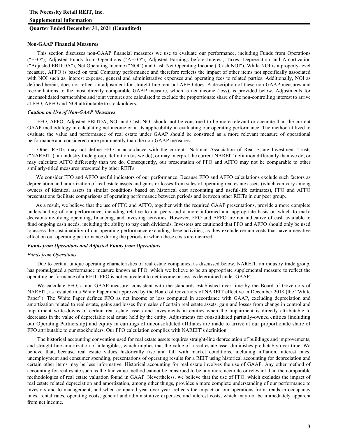### **Quarter Ended December 31, 2021 (Unaudited)**

#### **Non-GAAP Financial Measures**

This section discusses non-GAAP financial measures we use to evaluate our performance, including Funds from Operations ("FFO"), Adjusted Funds from Operations ("AFFO"), Adjusted Earnings before Interest, Taxes, Depreciation and Amortization ("Adjusted EBITDA"), Net Operating Income ("NOI") and Cash Net Operating Income ("Cash NOI"). While NOI is a property-level measure, AFFO is based on total Company performance and therefore reflects the impact of other items not specifically associated with NOI such as, interest expense, general and administrative expenses and operating fees to related parties. Additionally, NOI as defined herein, does not reflect an adjustment for straight-line rent but AFFO does. A description of these non-GAAP measures and reconciliations to the most directly comparable GAAP measure, which is net income (loss), is provided below. Adjustments for unconsolidated partnerships and joint ventures are calculated to exclude the proportionate share of the non-controlling interest to arrive at FFO, AFFO and NOI attributable to stockholders.

### *Caution on Use of Non-GAAP Measures*

FFO, AFFO, Adjusted EBITDA, NOI and Cash NOI should not be construed to be more relevant or accurate than the current GAAP methodology in calculating net income or in its applicability in evaluating our operating performance. The method utilized to evaluate the value and performance of real estate under GAAP should be construed as a more relevant measure of operational performance and considered more prominently than the non-GAAP measures.

Other REITs may not define FFO in accordance with the current National Association of Real Estate Investment Trusts ("NAREIT"), an industry trade group, definition (as we do), or may interpret the current NAREIT definition differently than we do, or may calculate AFFO differently than we do. Consequently, our presentation of FFO and AFFO may not be comparable to other similarly-titled measures presented by other REITs.

We consider FFO and AFFO useful indicators of our performance. Because FFO and AFFO calculations exclude such factors as depreciation and amortization of real estate assets and gains or losses from sales of operating real estate assets (which can vary among owners of identical assets in similar conditions based on historical cost accounting and useful-life estimates), FFO and AFFO presentations facilitate comparisons of operating performance between periods and between other REITs in our peer group.

As a result, we believe that the use of FFO and AFFO, together with the required GAAP presentations, provide a more complete understanding of our performance, including relative to our peers and a more informed and appropriate basis on which to make decisions involving operating, financing, and investing activities. However, FFO and AFFO are not indicative of cash available to fund ongoing cash needs, including the ability to pay cash dividends. Investors are cautioned that FFO and AFFO should only be used to assess the sustainability of our operating performance excluding these activities, as they exclude certain costs that have a negative effect on our operating performance during the periods in which these costs are incurred.

### *Funds from Operations and Adjusted Funds from Operations*

#### *Funds from Operations*

Due to certain unique operating characteristics of real estate companies, as discussed below, NAREIT, an industry trade group, has promulgated a performance measure known as FFO, which we believe to be an appropriate supplemental measure to reflect the operating performance of a REIT. FFO is not equivalent to net income or loss as determined under GAAP.

We calculate FFO, a non-GAAP measure, consistent with the standards established over time by the Board of Governors of NAREIT, as restated in a White Paper and approved by the Board of Governors of NAREIT effective in December 2018 (the "White Paper"). The White Paper defines FFO as net income or loss computed in accordance with GAAP, excluding depreciation and amortization related to real estate, gains and losses from sales of certain real estate assets, gain and losses from change in control and impairment write-downs of certain real estate assets and investments in entities when the impairment is directly attributable to decreases in the value of depreciable real estate held by the entity. Adjustments for consolidated partially-owned entities (including our Operating Partnership) and equity in earnings of unconsolidated affiliates are made to arrive at our proportionate share of FFO attributable to our stockholders. Our FFO calculation complies with NAREIT's definition.

The historical accounting convention used for real estate assets requires straight-line depreciation of buildings and improvements, and straight-line amortization of intangibles, which implies that the value of a real estate asset diminishes predictably over time. We believe that, because real estate values historically rise and fall with market conditions, including inflation, interest rates, unemployment and consumer spending, presentations of operating results for a REIT using historical accounting for depreciation and certain other items may be less informative. Historical accounting for real estate involves the use of GAAP. Any other method of accounting for real estate such as the fair value method cannot be construed to be any more accurate or relevant than the comparable methodologies of real estate valuation found in GAAP. Nevertheless, we believe that the use of FFO, which excludes the impact of real estate related depreciation and amortization, among other things, provides a more complete understanding of our performance to investors and to management, and when compared year over year, reflects the impact on our operations from trends in occupancy rates, rental rates, operating costs, general and administrative expenses, and interest costs, which may not be immediately apparent from net income.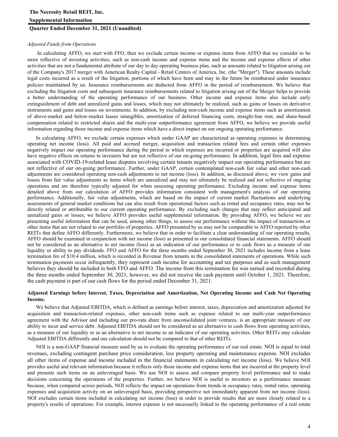## **The Necessity Retail REIT, Inc. Supplemental Information**

### **Quarter Ended December 31, 2021 (Unaudited)**

### *Adjusted Funds from Operations*

In calculating AFFO, we start with FFO, then we exclude certain income or expense items from AFFO that we consider to be more reflective of investing activities, such as non-cash income and expense items and the income and expense effects of other activities that are not a fundamental attribute of our day to day operating business plan, such as amounts related to litigation arising out of the Company's 2017 merger with American Realty Capital - Retail Centers of America, Inc. (the "Merger"). These amounts include legal costs incurred as a result of the litigation, portions of which have been and may in the future be reimbursed under insurance policies maintained by us. Insurance reimbursements are deducted from AFFO in the period of reimbursement. We believe that excluding the litigation costs and subsequent insurance reimbursements related to litigation arising out of the Merger helps to provide a better understanding of the operating performance of our business. Other income and expense items also include early extinguishment of debt and unrealized gains and losses, which may not ultimately be realized, such as gains or losses on derivative instruments and gains and losses on investments. In addition, by excluding non-cash income and expense items such as amortization of above-market and below-market leases intangibles, amortization of deferred financing costs, straight-line rent, and share-based compensation related to restricted shares and the multi-year outperformance agreement from AFFO, we believe we provide useful information regarding those income and expense items which have a direct impact on our ongoing operating performance.

In calculating AFFO, we exclude certain expenses which under GAAP are characterized as operating expenses in determining operating net income (loss). All paid and accrued merger, acquisition and transaction related fees and certain other expenses negatively impact our operating performance during the period in which expenses are incurred or properties are acquired will also have negative effects on returns to investors but are not reflective of our on-going performance. In addition, legal fees and expense associated with COVID-19-related lease disputes involving certain tenants negatively impact our operating performance but are not reflective of our on-going performance. Further, under GAAP, certain contemplated non-cash fair value and other non-cash adjustments are considered operating non-cash adjustments to net income (loss). In addition, as discussed above, we view gains and losses from fair value adjustments as items which are unrealized and may not ultimately be realized and not reflective of ongoing operations and are therefore typically adjusted for when assessing operating performance. Excluding income and expense items detailed above from our calculation of AFFO provides information consistent with management's analysis of our operating performance. Additionally, fair value adjustments, which are based on the impact of current market fluctuations and underlying assessments of general market conditions but can also result from operational factors such as rental and occupancy rates, may not be directly related or attributable to our current operating performance. By excluding such changes that may reflect anticipated and unrealized gains or losses, we believe AFFO provides useful supplemental information. By providing AFFO, we believe we are presenting useful information that can be used, among other things, to assess our performance without the impact of transactions or other items that are not related to our portfolio of properties. AFFO presented by us may not be comparable to AFFO reported by other REITs that define AFFO differently. Furthermore, we believe that in order to facilitate a clear understanding of our operating results, AFFO should be examined in conjunction with net income (loss) as presented in our consolidated financial statements. AFFO should not be considered as an alternative to net income (loss) as an indication of our performance or to cash flows as a measure of our liquidity or ability to pay dividends. FFO and AFFO for the three months ended September 30, 2021 includes income from a lease termination fee of \$10.4 million, which is recorded in Revenue from tenants in the consolidated statements of operations. While such termination payments occur infrequently, they represent cash income for accounting and tax purposes and as such management believes they should be included in both FFO and AFFO. The income from this termination fee was earned and recorded during the three months ended September 30, 2021, however, we did not receive the cash payment until October 1, 2021. Therefore, the cash payment is part of our cash flows for the period ended December 31, 2021.

### **Adjusted Earnings before Interest, Taxes, Depreciation and Amortization, Net Operating Income and Cash Net Operating Income.**

We believe that Adjusted EBITDA, which is defined as earnings before interest, taxes, depreciation and amortization adjusted for acquisition and transaction-related expenses, other non-cash items such as expense related to our multi-year outperformance agreement with the Advisor and including our pro-rata share from unconsolidated joint ventures, is an appropriate measure of our ability to incur and service debt. Adjusted EBITDA should not be considered as an alternative to cash flows from operating activities, as a measure of our liquidity or as an alternative to net income as an indicator of our operating activities. Other REITs may calculate Adjusted EBITDA differently and our calculation should not be compared to that of other REITs.

NOI is a non-GAAP financial measure used by us to evaluate the operating performance of our real estate. NOI is equal to total revenues, excluding contingent purchase price consideration, less property operating and maintenance expense. NOI excludes all other items of expense and income included in the financial statements in calculating net income (loss). We believe NOI provides useful and relevant information because it reflects only those income and expense items that are incurred at the property level and presents such items on an unleveraged basis. We use NOI to assess and compare property level performance and to make decisions concerning the operations of the properties. Further, we believe NOI is useful to investors as a performance measure because, when compared across periods, NOI reflects the impact on operations from trends in occupancy rates, rental rates, operating expenses and acquisition activity on an unleveraged basis, providing perspective not immediately apparent from net income (loss). NOI excludes certain items included in calculating net income (loss) in order to provide results that are more closely related to a property's results of operations. For example, interest expense is not necessarily linked to the operating performance of a real estate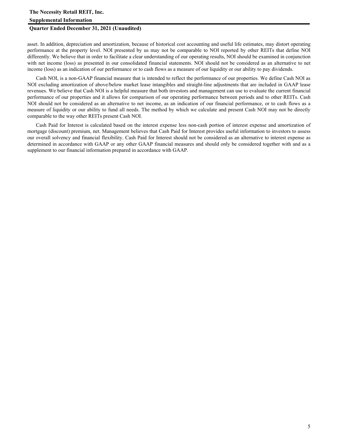### **Supplemental Information**

### **Quarter Ended December 31, 2021 (Unaudited)**

asset. In addition, depreciation and amortization, because of historical cost accounting and useful life estimates, may distort operating performance at the property level. NOI presented by us may not be comparable to NOI reported by other REITs that define NOI differently. We believe that in order to facilitate a clear understanding of our operating results, NOI should be examined in conjunction with net income (loss) as presented in our consolidated financial statements. NOI should not be considered as an alternative to net income (loss) as an indication of our performance or to cash flows as a measure of our liquidity or our ability to pay dividends.

Cash NOI, is a non-GAAP financial measure that is intended to reflect the performance of our properties. We define Cash NOI as NOI excluding amortization of above/below market lease intangibles and straight-line adjustments that are included in GAAP lease revenues. We believe that Cash NOI is a helpful measure that both investors and management can use to evaluate the current financial performance of our properties and it allows for comparison of our operating performance between periods and to other REITs. Cash NOI should not be considered as an alternative to net income, as an indication of our financial performance, or to cash flows as a measure of liquidity or our ability to fund all needs. The method by which we calculate and present Cash NOI may not be directly comparable to the way other REITs present Cash NOI.

Cash Paid for Interest is calculated based on the interest expense less non-cash portion of interest expense and amortization of mortgage (discount) premium, net. Management believes that Cash Paid for Interest provides useful information to investors to assess our overall solvency and financial flexibility. Cash Paid for Interest should not be considered as an alternative to interest expense as determined in accordance with GAAP or any other GAAP financial measures and should only be considered together with and as a supplement to our financial information prepared in accordance with GAAP.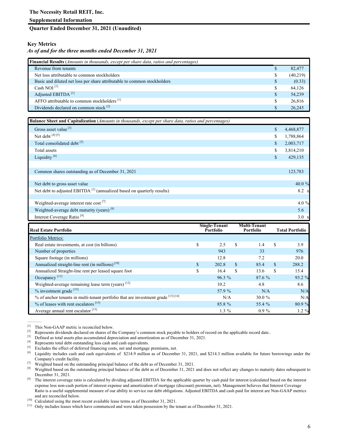### **Quarter Ended December 31, 2021 (Unaudited)**

### **Key Metrics**

### *As of and for the three months ended December 31, 2021*

| <b>Financial Results</b> ( <i>Amounts in thousands, except per share data, ratios and percentages</i> ) |              |          |
|---------------------------------------------------------------------------------------------------------|--------------|----------|
| Revenue from tenants                                                                                    |              | 82,477   |
| Net loss attributable to common stockholders                                                            | S            | (40,219) |
| Basic and diluted net loss per share attributable to common stockholders                                | <sup>S</sup> | (0.33)   |
| Cash NOI $^{[1]}$                                                                                       |              | 64,126   |
| Adjusted EBITDA <sup>[1]</sup>                                                                          | S            | 54,239   |
| AFFO attributable to common stockholders <sup>[1]</sup>                                                 | S.           | 26,816   |
| Dividends declared on common stock <sup>[2]</sup>                                                       |              | 26.245   |

| <b>Balance Sheet and Capitalization</b> (Amounts in thousands, except per share data, ratios and percentages) |                 |
|---------------------------------------------------------------------------------------------------------------|-----------------|
| Gross asset value <sup>[3]</sup>                                                                              | \$<br>4,468,877 |
| Net debt [4] [5]                                                                                              | \$<br>1,788,864 |
| Total consolidated debt [5]                                                                                   | \$<br>2,003,717 |
| Total assets                                                                                                  | \$<br>3,814,210 |
| Liquidity <sup>[6]</sup>                                                                                      | \$<br>429,135   |
|                                                                                                               |                 |
| Common shares outstanding as of December 31, 2021                                                             | 123,783         |
|                                                                                                               |                 |
| Net debt to gross asset value                                                                                 | 40.0 %          |
| Net debt to adjusted EBITDA <sup>[1]</sup> (annualized based on quarterly results)                            | 8.2 x           |
|                                                                                                               |                 |
| Weighted-average interest rate cost <sup>[7]</sup>                                                            | 4.0 $%$         |
| Weighted-average debt maturity (years) <sup>[8]</sup>                                                         | 5.6             |
| Interest Coverage Ratio <sup>[9]</sup>                                                                        | $3.0 \times$    |

| <b>Real Estate Portfolio</b>                                                      |    | <b>Single-Tenant</b><br><b>Portfolio</b> |     | <b>Multi-Tenant</b><br>Portfolio |     | <b>Total Portfolio</b> |  |
|-----------------------------------------------------------------------------------|----|------------------------------------------|-----|----------------------------------|-----|------------------------|--|
| Portfolio Metrics:                                                                |    |                                          |     |                                  |     |                        |  |
| Real estate investments, at cost (in billions)                                    | \$ | 2.5                                      | \$  | 1.4                              | \$. | 3.9                    |  |
| Number of properties                                                              |    | 943                                      |     | 33                               |     | 976                    |  |
| Square footage (in millions)                                                      |    | 12.8                                     |     | 7.2                              |     | 20.0                   |  |
| Annualized straight-line rent (in millions) <sup>[10]</sup>                       | \$ | 202.8                                    | \$. | 85.4                             | \$  | 288.2                  |  |
| Annualized Straight-line rent per leased square foot                              | \$ | 16.4                                     | \$  | 13.6                             | \$. | 15.4                   |  |
| Occupancy <sup>[11]</sup>                                                         |    | 96.3%                                    |     | 87.6 %                           |     | 93.2 %                 |  |
| Weighted-average remaining lease term (years) <sup>[12]</sup>                     |    | 10.2                                     |     | 4.8                              |     | 8.6                    |  |
| $%$ investment grade $[13]$                                                       |    | 57.9 %                                   |     | N/A                              |     | N/A                    |  |
| % of anchor tenants in multi-tenant portfolio that are investment grade [13] [14] |    | N/A                                      |     | $30.0 \%$                        |     | N/A                    |  |
| $\%$ of leases with rent escalators $^{[15]}$                                     |    | 85.8 %                                   |     | 55.4 %                           |     | 80.9 %                 |  |
| Average annual rent escalator <sup>[15]</sup>                                     |    | $1.3\%$                                  |     | $0.9\%$                          |     | $1.2 \%$               |  |

<sup>&</sup>lt;sup>[1]</sup> This Non-GAAP metric is reconciled below.<br><sup>[2]</sup> Penresents dividends declared on shares of the

<sup>&</sup>lt;sup>[2]</sup> Represents dividends declared on shares of the Company's common stock payable to holders of record on the applicable record date..<br><sup>[3]</sup> Defined as total assets plus accumulated depreciation and amortization as of D

<sup>[3]</sup> Defined as total assets plus accumulated depreciation and amortization as of December 31, 2021.

<sup>[4]</sup> Represents total debt outstanding less cash and cash equivalents.

<sup>&</sup>lt;sup>[5]</sup> Excludes the effect of deferred financing costs, net and mortgage premiums, net.<br><sup>[6]</sup> Liquidity includes cash and cash equivalents of \$214.9 million as of Decembe

Liquidity includes cash and cash equivalents of \$214.9 million as of December 31, 2021, and \$214.3 million available for future borrowings under the Company's credit facility.

<sup>&</sup>lt;sup>[7]</sup> Weighted based on the outstanding principal balance of the debt as of December 31, 2021.<br><sup>[8]</sup> Weighted based on the outstanding principal balance of the debt as of December 31, 2021.

Weighted based on the outstanding principal balance of the debt as of December 31, 2021 and does not reflect any changes to maturity dates subsequent to December 31, 2021.

 $[9]$  The interest coverage ratio is calculated by dividing adjusted EBITDA for the applicable quarter by cash paid for interest (calculated based on the interest expense less non-cash portion of interest expense and amortization of mortgage (discount) premium, net). Management believes that Interest Coverage Ratio is a useful supplemental measure of our ability to service our debt obligations. Adjusted EBITDA and cash paid for interest are Non-GAAP metrics and are reconciled below.

<sup>[10]</sup> Calculated using the most recent available lease terms as of December 31, 2021.

<sup>[11]</sup> Only includes leases which have commenced and were taken possession by the tenant as of December 31, 2021.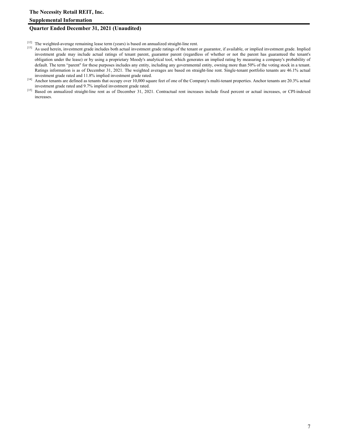### **Quarter Ended December 31, 2021 (Unaudited)**

- [12] The weighted-average remaining lease term (years) is based on annualized straight-line rent.
- [13] As used herein, investment grade includes both actual investment grade ratings of the tenant or guarantor, if available, or implied investment grade. Implied investment grade may include actual ratings of tenant parent, guarantor parent (regardless of whether or not the parent has guaranteed the tenant's obligation under the lease) or by using a proprietary Moody's analytical tool, which generates an implied rating by measuring a company's probability of default. The term "parent" for these purposes includes any entity, including any governmental entity, owning more than 50% of the voting stock in a tenant. Ratings information is as of December 31, 2021. The weighted averages are based on straight-line rent. Single-tenant portfolio tenants are 46.1% actual investment grade rated and 11.8% implied investment grade rated.
- [14] Anchor tenants are defined as tenants that occupy over 10,000 square feet of one of the Company's multi-tenant properties. Anchor tenants are 20.3% actual investment grade rated and 9.7% implied investment grade rated.
- [15] Based on annualized straight-line rent as of December 31, 2021. Contractual rent increases include fixed percent or actual increases, or CPI-indexed increases.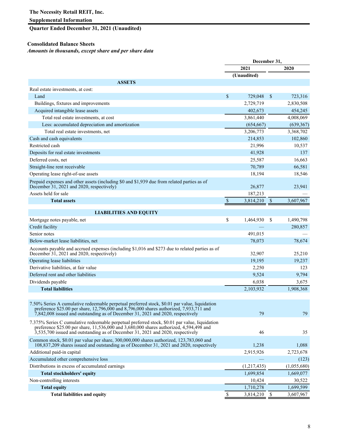### **Supplemental Information**

### **Quarter Ended December 31, 2021 (Unaudited)**

### **Consolidated Balance Sheets**

### *Amounts in thousands, except share and per share data*

|                                                                                                                                                                                                                                                                                | December 31,              |             |               |             |
|--------------------------------------------------------------------------------------------------------------------------------------------------------------------------------------------------------------------------------------------------------------------------------|---------------------------|-------------|---------------|-------------|
|                                                                                                                                                                                                                                                                                |                           | 2021        |               | 2020        |
|                                                                                                                                                                                                                                                                                |                           | (Unaudited) |               |             |
| <b>ASSETS</b>                                                                                                                                                                                                                                                                  |                           |             |               |             |
| Real estate investments, at cost:                                                                                                                                                                                                                                              |                           |             |               |             |
| Land                                                                                                                                                                                                                                                                           | $\sqrt{3}$                | 729,048     | $\mathbb{S}$  | 723,316     |
| Buildings, fixtures and improvements                                                                                                                                                                                                                                           |                           | 2,729,719   |               | 2,830,508   |
| Acquired intangible lease assets                                                                                                                                                                                                                                               |                           | 402,673     |               | 454,245     |
| Total real estate investments, at cost                                                                                                                                                                                                                                         |                           | 3,861,440   |               | 4,008,069   |
| Less: accumulated depreciation and amortization                                                                                                                                                                                                                                |                           | (654, 667)  |               | (639, 367)  |
| Total real estate investments, net                                                                                                                                                                                                                                             |                           | 3,206,773   |               | 3,368,702   |
| Cash and cash equivalents                                                                                                                                                                                                                                                      |                           | 214,853     |               | 102,860     |
| Restricted cash                                                                                                                                                                                                                                                                |                           | 21,996      |               | 10,537      |
| Deposits for real estate investments                                                                                                                                                                                                                                           |                           | 41,928      |               | 137         |
| Deferred costs, net                                                                                                                                                                                                                                                            |                           | 25,587      |               | 16,663      |
| Straight-line rent receivable                                                                                                                                                                                                                                                  |                           | 70,789      |               | 66,581      |
| Operating lease right-of-use assets                                                                                                                                                                                                                                            |                           | 18,194      |               | 18,546      |
| Prepaid expenses and other assets (including \$0 and \$1,939 due from related parties as of<br>December 31, 2021 and 2020, respectively)                                                                                                                                       |                           | 26,877      |               | 23,941      |
| Assets held for sale                                                                                                                                                                                                                                                           |                           | 187,213     |               |             |
| <b>Total assets</b>                                                                                                                                                                                                                                                            | $\boldsymbol{\mathsf{S}}$ | 3,814,210   | $\mathcal{S}$ | 3,607,967   |
|                                                                                                                                                                                                                                                                                |                           |             |               |             |
| <b>LIABILITIES AND EQUITY</b>                                                                                                                                                                                                                                                  |                           |             |               |             |
| Mortgage notes payable, net                                                                                                                                                                                                                                                    | \$                        | 1,464,930   | \$            | 1,490,798   |
| Credit facility                                                                                                                                                                                                                                                                |                           |             |               | 280,857     |
| Senior notes                                                                                                                                                                                                                                                                   |                           | 491,015     |               |             |
| Below-market lease liabilities, net                                                                                                                                                                                                                                            |                           | 78,073      |               | 78,674      |
| Accounts payable and accrued expenses (including \$1,016 and \$273 due to related parties as of<br>December 31, 2021 and 2020, respectively)                                                                                                                                   |                           | 32,907      |               | 25,210      |
| Operating lease liabilities                                                                                                                                                                                                                                                    |                           | 19,195      |               | 19,237      |
| Derivative liabilities, at fair value                                                                                                                                                                                                                                          |                           | 2,250       |               | 123         |
| Deferred rent and other liabilities                                                                                                                                                                                                                                            |                           | 9,524       |               | 9,794       |
| Dividends payable                                                                                                                                                                                                                                                              |                           | 6,038       |               | 3,675       |
| <b>Total liabilities</b>                                                                                                                                                                                                                                                       |                           | 2,103,932   |               | 1,908,368   |
| 7.50% Series A cumulative redeemable perpetual preferred stock, \$0.01 par value, liquidation<br>preference \$25.00 per share, 12,796,000 and 8,796,000 shares authorized, 7,933,711 and<br>7,842,008 issued and outstanding as of December 31, 2021 and 2020, respectively    |                           | 79          |               | 79          |
| 7.375% Series C cumulative redeemable perpetual preferred stock, \$0.01 par value, liquidation<br>preference \$25.00 per share, 11,536,000 and 3,680,000 shares authorized, 4,594,498 and<br>$3,535,700$ issued and outstanding as of December 31, 2021 and 2020, respectively |                           | 46          |               | 35          |
| Common stock, \$0.01 par value per share, 300,000,000 shares authorized, 123,783,060 and<br>108,837,209 shares issued and outstanding as of December 31, 2021 and 2020, respectively                                                                                           |                           | 1,238       |               | 1,088       |
| Additional paid-in capital                                                                                                                                                                                                                                                     |                           | 2,915,926   |               | 2,723,678   |
| Accumulated other comprehensive loss                                                                                                                                                                                                                                           |                           |             |               | (123)       |
| Distributions in excess of accumulated earnings                                                                                                                                                                                                                                |                           | (1,217,435) |               | (1,055,680) |
| Total stockholders' equity                                                                                                                                                                                                                                                     |                           | 1,699,854   |               | 1,669,077   |
| Non-controlling interests                                                                                                                                                                                                                                                      |                           | 10,424      |               | 30,522      |
| <b>Total equity</b>                                                                                                                                                                                                                                                            |                           | 1,710,278   |               | 1,699,599   |
| <b>Total liabilities and equity</b>                                                                                                                                                                                                                                            | \$                        | 3,814,210   | \$            | 3,607,967   |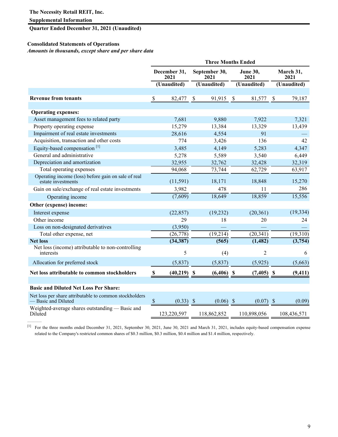**Quarter Ended December 31, 2021 (Unaudited)**

### **Consolidated Statements of Operations**

*Amounts in thousands, except share and per share data* 

|                                                                               | <b>Three Months Ended</b> |                      |    |                       |    |                         |     |                   |  |
|-------------------------------------------------------------------------------|---------------------------|----------------------|----|-----------------------|----|-------------------------|-----|-------------------|--|
|                                                                               |                           | December 31,<br>2021 |    | September 30,<br>2021 |    | <b>June 30.</b><br>2021 |     | March 31,<br>2021 |  |
|                                                                               |                           | (Unaudited)          |    | (Unaudited)           |    | (Unaudited)             |     | (Unaudited)       |  |
| <b>Revenue from tenants</b>                                                   | \$                        |                      | \$ | 91,915                | \$ | 81,577                  | \$  | 79,187            |  |
|                                                                               |                           | 82,477               |    |                       |    |                         |     |                   |  |
| <b>Operating expenses:</b>                                                    |                           |                      |    |                       |    |                         |     |                   |  |
| Asset management fees to related party                                        |                           | 7,681                |    | 9,880                 |    | 7,922                   |     | 7,321             |  |
| Property operating expense                                                    |                           | 15,279               |    | 13,384                |    | 13,329                  |     | 13,439            |  |
| Impairment of real estate investments                                         |                           | 28,616               |    | 4,554                 |    | 91                      |     |                   |  |
| Acquisition, transaction and other costs                                      |                           | 774                  |    | 3,426                 |    | 136                     |     | 42                |  |
| Equity-based compensation <sup>[1]</sup>                                      |                           | 3,485                |    | 4,149                 |    | 5,283                   |     | 4,347             |  |
| General and administrative                                                    |                           | 5,278                |    | 5,589                 |    | 3,540                   |     | 6,449             |  |
| Depreciation and amortization                                                 |                           | 32,955               |    | 32,762                |    | 32,428                  |     | 32,319            |  |
| Total operating expenses                                                      |                           | 94,068               |    | 73,744                |    | 62,729                  |     | 63,917            |  |
| Operating income (loss) before gain on sale of real<br>estate investments     |                           | (11, 591)            |    | 18,171                |    | 18,848                  |     | 15,270            |  |
| Gain on sale/exchange of real estate investments                              |                           | 3,982                |    | 478                   |    | 11                      |     | 286               |  |
| Operating income                                                              |                           | (7,609)              |    | 18,649                |    | 18,859                  |     | 15,556            |  |
| Other (expense) income:                                                       |                           |                      |    |                       |    |                         |     |                   |  |
| Interest expense                                                              |                           | (22, 857)            |    | (19,232)              |    | (20, 361)               |     | (19, 334)         |  |
| Other income                                                                  |                           | 29                   |    | 18                    |    | 20                      |     | 24                |  |
| Loss on non-designated derivatives                                            |                           | (3,950)              |    |                       |    |                         |     |                   |  |
| Total other expense, net                                                      |                           | (26,778)             |    | (19,214)              |    | (20, 341)               |     | (19,310)          |  |
| <b>Net loss</b>                                                               |                           | (34, 387)            |    | (565)                 |    | (1, 482)                |     | (3,754)           |  |
| Net loss (income) attributable to non-controlling<br>interests                |                           | 5                    |    | (4)                   |    | $\overline{2}$          |     | 6                 |  |
| Allocation for preferred stock                                                |                           | (5,837)              |    | (5,837)               |    | (5,925)                 |     | (5,663)           |  |
| Net loss attributable to common stockholders                                  | $\mathbb{S}$              | $(40,219)$ \$        |    | $(6,406)$ \$          |    | $(7,405)$ \$            |     | (9, 411)          |  |
| <b>Basic and Diluted Net Loss Per Share:</b>                                  |                           |                      |    |                       |    |                         |     |                   |  |
|                                                                               |                           |                      |    |                       |    |                         |     |                   |  |
| Net loss per share attributable to common stockholders<br>— Basic and Diluted | $\mathcal{S}$             | $(0.33)$ \$          |    | $(0.06)$ \$           |    | (0.07)                  | -\$ | (0.09)            |  |
| Weighted-average shares outstanding — Basic and<br>Diluted                    |                           | 123,220,597          |    | 118,862,852           |    | 110,898,056             |     | 108,436,571       |  |

[1] For the three months ended December 31, 2021, September 30, 2021, June 30, 2021 and March 31, 2021, includes equity-based compensation expense related to the Company's restricted common shares of \$0.3 million, \$0.3 million, \$0.4 million and \$1.4 million, respectively.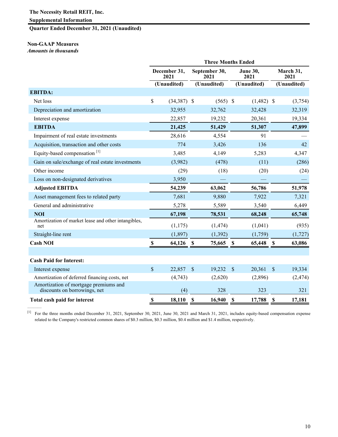**Quarter Ended December 31, 2021 (Unaudited)**

### **Non-GAAP Measures**

*Amounts in thousands*

|                                                                       | <b>Three Months Ended</b>                     |               |               |             |                         |                         |  |  |
|-----------------------------------------------------------------------|-----------------------------------------------|---------------|---------------|-------------|-------------------------|-------------------------|--|--|
|                                                                       | September 30,<br>December 31,<br>2021<br>2021 |               |               |             | <b>June 30,</b><br>2021 | March 31,<br>2021       |  |  |
|                                                                       |                                               | (Unaudited)   |               | (Unaudited) | (Unaudited)             | (Unaudited)             |  |  |
| <b>EBITDA:</b>                                                        |                                               |               |               |             |                         |                         |  |  |
| Net loss                                                              | $\mathsf{\$}$                                 | $(34,387)$ \$ |               | $(565)$ \$  | $(1,482)$ \$            | (3,754)                 |  |  |
| Depreciation and amortization                                         |                                               | 32,955        |               | 32,762      | 32,428                  | 32,319                  |  |  |
| Interest expense                                                      |                                               | 22,857        |               | 19,232      | 20,361                  | 19,334                  |  |  |
| <b>EBITDA</b>                                                         |                                               | 21,425        |               | 51,429      | 51,307                  | 47,899                  |  |  |
| Impairment of real estate investments                                 |                                               | 28,616        |               | 4,554       | 91                      |                         |  |  |
| Acquisition, transaction and other costs                              |                                               | 774           |               | 3,426       | 136                     | 42                      |  |  |
| Equity-based compensation <sup>[1]</sup>                              |                                               | 3,485         |               | 4,149       | 5,283                   | 4,347                   |  |  |
| Gain on sale/exchange of real estate investments                      |                                               | (3,982)       |               | (478)       | (11)                    | (286)                   |  |  |
| Other income                                                          |                                               | (29)          |               | (18)        | (20)                    | (24)                    |  |  |
| Loss on non-designated derivatives                                    |                                               | 3,950         |               |             |                         |                         |  |  |
| <b>Adjusted EBITDA</b>                                                |                                               | 54,239        |               | 63,062      | 56,786                  | 51,978                  |  |  |
| Asset management fees to related party                                |                                               | 7,681         |               | 9,880       | 7,922                   | 7,321                   |  |  |
| General and administrative                                            |                                               | 5,278         |               | 5,589       | 3,540                   | 6,449                   |  |  |
| <b>NOI</b>                                                            |                                               | 67,198        |               | 78,531      | 68,248                  | 65,748                  |  |  |
| Amortization of market lease and other intangibles,<br>net            |                                               | (1, 175)      |               | (1, 474)    | (1,041)                 | (935)                   |  |  |
| Straight-line rent                                                    |                                               | (1, 897)      |               | (1, 392)    | (1,759)                 | (1, 727)                |  |  |
| <b>Cash NOI</b>                                                       | $\boldsymbol{\mathsf{s}}$                     | 64,126        | $\mathbf{\$}$ | 75,665      | $\mathbf s$<br>65,448   | 63,086<br>$\mathbf{s}$  |  |  |
|                                                                       |                                               |               |               |             |                         |                         |  |  |
| <b>Cash Paid for Interest:</b>                                        |                                               |               |               |             |                         |                         |  |  |
| Interest expense                                                      | $\mathsf{\$}$                                 | 22,857        | $\mathsf{\$}$ | 19,232      | $\mathcal{S}$<br>20,361 | $\mathcal{S}$<br>19,334 |  |  |
| Amortization of deferred financing costs, net                         |                                               | (4,743)       |               | (2,620)     | (2,896)                 | (2, 474)                |  |  |
| Amortization of mortgage premiums and<br>discounts on borrowings, net |                                               | (4)           |               | 328         | 323                     | 321                     |  |  |
| Total cash paid for interest                                          | \$                                            | 18,110        | \$            | 16,940      | \$<br>17,788            | \$<br>17,181            |  |  |

[1] For the three months ended December 31, 2021, September 30, 2021, June 30, 2021 and March 31, 2021, includes equity-based compensation expense related to the Company's restricted common shares of \$0.3 million, \$0.3 million, \$0.4 million and \$1.4 million, respectively.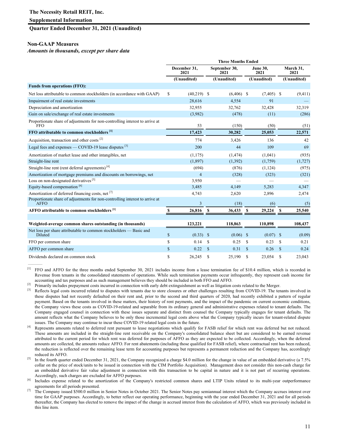### **Quarter Ended December 31, 2021 (Unaudited)**

### **Non-GAAP Measures**

*Amounts in thousands, except per share data*

|                                                                                             | <b>Three Months Ended</b> |                      |                       |              |                         |              |              |                   |
|---------------------------------------------------------------------------------------------|---------------------------|----------------------|-----------------------|--------------|-------------------------|--------------|--------------|-------------------|
|                                                                                             |                           | December 31,<br>2021 | September 30,<br>2021 |              | <b>June 30,</b><br>2021 |              |              | March 31,<br>2021 |
|                                                                                             |                           | (Unaudited)          | (Unaudited)           |              |                         | (Unaudited)  |              | (Unaudited)       |
| <b>Funds from operations (FFO):</b>                                                         |                           |                      |                       |              |                         |              |              |                   |
| Net loss attributable to common stockholders (in accordance with GAAP)                      | \$                        | $(40,219)$ \$        |                       | $(6,406)$ \$ |                         | $(7,405)$ \$ |              | (9, 411)          |
| Impairment of real estate investments                                                       |                           | 28,616               |                       | 4,554        |                         | 91           |              |                   |
| Depreciation and amortization                                                               |                           | 32,955               |                       | 32,762       |                         | 32,428       |              | 32,319            |
| Gain on sale/exchange of real estate investments                                            |                           | (3,982)              |                       | (478)        |                         | (11)         |              | (286)             |
| Proportionate share of adjustments for non-controlling interest to arrive at<br><b>FFO</b>  |                           | 53                   |                       | (150)        |                         | (50)         |              | (51)              |
| FFO attributable to common stockholders [1]                                                 |                           | 17,423               |                       | 30,282       |                         | 25,053       |              | 22,571            |
| Acquisition, transaction and other costs <sup>[2]</sup>                                     |                           | 774                  |                       | 3,426        |                         | 136          |              | 42                |
| Legal fees and expenses — COVID-19 lease disputes $^{[3]}$                                  |                           | 200                  |                       | 44           |                         | 109          |              | 69                |
| Amortization of market lease and other intangibles, net                                     |                           | (1,175)              |                       | (1, 474)     |                         | (1,041)      |              | (935)             |
| Straight-line rent                                                                          |                           | (1,897)              |                       | (1, 392)     |                         | (1,759)      |              | (1, 727)          |
| Straight-line rent (rent deferral agreements) <sup>[4]</sup>                                |                           | (694)                |                       | (876)        |                         | (1, 124)     |              | (975)             |
| Amortization of mortgage premiums and discounts on borrowings, net                          |                           | 4                    |                       | (328)        |                         | (323)        |              | (321)             |
| Loss on non-designated derivatives <sup>[5]</sup>                                           |                           | 3,950                |                       |              |                         |              |              |                   |
| Equity-based compensation <sup>[6]</sup>                                                    |                           | 3,485                |                       | 4,149        |                         | 5,283        |              | 4,347             |
| Amortization of deferred financing costs, net [7]                                           |                           | 4,743                |                       | 2,620        |                         | 2,896        |              | 2,474             |
| Proportionate share of adjustments for non-controlling interest to arrive at<br><b>AFFO</b> |                           | 3                    |                       | (18)         |                         | (6)          |              | (5)               |
| AFFO attributable to common stockholders <sup>[1]</sup>                                     | \$                        | 26,816               | \$                    | 36,433       | \$                      | 29,224       | $\mathbf{s}$ | 25,540            |
|                                                                                             |                           |                      |                       |              |                         |              |              |                   |
| Weighted-average common shares outstanding (in thousands)                                   |                           | 123,221              | 118,863               |              |                         | 110,898      |              | 108,437           |
| Net loss per share attributable to common stockholders — Basic and<br>Diluted               | \$                        | $(0.33)$ \$          |                       | $(0.06)$ \$  |                         | $(0.07)$ \$  |              | (0.09)            |
| FFO per common share                                                                        | \$                        | 0.14                 | \$                    | 0.25         | \$                      | 0.23         | S            | 0.21              |
| AFFO per common share                                                                       | \$                        | 0.22                 | $\mathbf S$           | 0.31         | $\mathbb{S}$            | 0.26         | $\mathbf{s}$ | 0.24              |
| Dividends declared on common stock                                                          | \$                        | 26,245               | S                     | 25.190       | S                       | 23.054       | S            | 23,043            |

<sup>[1]</sup> FFO and AFFO for the three months ended September 30, 2021 includes income from a lease termination fee of \$10.4 million, which is recorded in Revenue from tenants in the consolidated statements of operations. While such termination payments occur infrequently, they represent cash income for accounting and tax purposes and as such management believes they should be included in both FFO and AFFO.

 $^{[2]}$  Primarily includes prepayment costs incurred in connection with early debt extinguishment as well as litigation costs related to the Merger.<br><sup>[3]</sup> Reflects legal costs incurred related to disputes with tenants due

- Reflects legal costs incurred related to disputes with tenants due to store closures or other challenges resulting from COVID-19. The tenants involved in these disputes had not recently defaulted on their rent and, prior to the second and third quarters of 2020, had recently exhibited a pattern of regular payment. Based on the tenants involved in these matters, their history of rent payments, and the impact of the pandemic on current economic conditions, the Company views these costs as COVID-19-related and separable from its ordinary general and administrative expenses related to tenant defaults. The Company engaged counsel in connection with these issues separate and distinct from counsel the Company typically engages for tenant defaults. The amount reflects what the Company believes to be only those incremental legal costs above what the Company typically incurs for tenant-related dispute issues. The Company may continue to incur these COVID-19 related legal costs in the future.
- <sup>[4]</sup> Represents amounts related to deferred rent pursuant to lease negotiations which qualify for FASB relief for which rent was deferred but not reduced. These amounts are included in the straight-line rent receivable on the Company's consolidated balance sheet but are considered to be earned revenue attributed to the current period for which rent was deferred for purposes of AFFO as they are expected to be collected. Accordingly, when the deferred amounts are collected, the amounts reduce AFFO. For rent abatements (including those qualified for FASB relief), where contractual rent has been reduced, the reduction is reflected over the remaining lease term for accounting purposes but represents a permanent reduction and the Company has, accordingly reduced its AFFO.
- <sup>[5]</sup> In the fourth quarter ended December 31, 2021, the Company recognized a charge \$4.0 million for the change in value of an embedded derivative (a 7.5% collar on the price of stock/units to be issued in connection with the CIM Portfolio Acquisition). Management does not consider this non-cash charge for an embedded derivative fair value adjustment in connection with this transaction to be capital in nature and it is not part of recurring operations. Accordingly, such charges are excluded for AFFO purposes.

Includes expense related to the amortization of the Company's restricted common shares and LTIP Units related to its multi-year outperformance agreements for all periods presented.

<sup>[7]</sup> The Company issued \$500.0 million in Senior Notes in October 2021. The Senior Notes pay semiannual interest which the Company accrues interest over time for GAAP purposes. Accordingly, to better reflect our operating performance, beginning with the year ended December 31, 2021 and for all periods thereafter, the Company has elected to remove the impact of the change in accrued interest from the calculation of AFFO, which was previously included in this line item.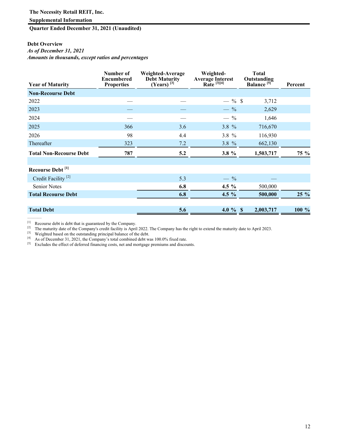### **Supplemental Information**

**Quarter Ended December 31, 2021 (Unaudited)**

### **Debt Overview**

*As of December 31, 2021*

*Amounts in thousands, except ratios and percentages* 

| <b>Year of Maturity</b>        | Number of<br><b>Encumbered</b><br><b>Properties</b> | Weighted-Average<br><b>Debt Maturity</b><br>$(Years)$ <sup>[3]</sup> | Weighted-<br>Average Interest<br>Rate<br>$^{[3][4]}$ | <b>Total</b><br>Outstanding<br>Balance <sup>[5]</sup> <sup>c</sup> | Percent |
|--------------------------------|-----------------------------------------------------|----------------------------------------------------------------------|------------------------------------------------------|--------------------------------------------------------------------|---------|
| <b>Non-Recourse Debt</b>       |                                                     |                                                                      |                                                      |                                                                    |         |
| 2022                           |                                                     |                                                                      | $-$ % \$                                             | 3,712                                                              |         |
| 2023                           |                                                     |                                                                      | $-$ %                                                | 2,629                                                              |         |
| 2024                           |                                                     |                                                                      | $-$ %                                                | 1,646                                                              |         |
| 2025                           | 366                                                 | 3.6                                                                  | $3.8 \%$                                             | 716,670                                                            |         |
| 2026                           | 98                                                  | 4.4                                                                  | $3.8 \%$                                             | 116,930                                                            |         |
| Thereafter                     | 323                                                 | 7.2                                                                  | 3.8 $%$                                              | 662,130                                                            |         |
| <b>Total Non-Recourse Debt</b> | 787                                                 | 5.2                                                                  | 3.8 %                                                | 1,503,717                                                          | 75 %    |
| Recourse Debt <sup>[1]</sup>   |                                                     |                                                                      |                                                      |                                                                    |         |
| Credit Facility <sup>[2]</sup> |                                                     | 5.3                                                                  | $-$ %                                                |                                                                    |         |
| Senior Notes                   |                                                     | 6.8                                                                  | 4.5 $%$                                              | 500,000                                                            |         |
| <b>Total Recourse Debt</b>     |                                                     | 6.8                                                                  | $4.5\%$                                              | 500,000                                                            | $25 \%$ |
|                                |                                                     |                                                                      |                                                      |                                                                    |         |
| <b>Total Debt</b>              |                                                     | 5.6                                                                  | 4.0 $%$ \$                                           | 2,003,717                                                          | 100 %   |

[1] Recourse debt is debt that is guaranteed by the Company.

<sup>[2]</sup> The maturity date of the Company's credit facility is April 2022. The Company has the right to extend the maturity date to April 2023.

[3] Weighted based on the outstanding principal balance of the debt.

[4] As of December 31, 2021, the Company's total combined debt was 100.0% fixed rate.

[5] Excludes the effect of deferred financing costs, net and mortgage premiums and discounts.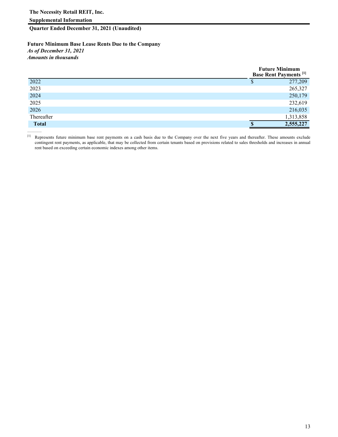**Quarter Ended December 31, 2021 (Unaudited)**

**Future Minimum Base Lease Rents Due to the Company** *As of December 31, 2021 Amounts in thousands* 

|              | <b>Future Minimum</b><br><b>Base Rent Payments</b> <sup>[1]</sup> |
|--------------|-------------------------------------------------------------------|
| 2022         | 277,209<br>Φ                                                      |
| 2023         | 265,327                                                           |
| 2024         | 250,179                                                           |
| 2025         | 232,619                                                           |
| 2026         | 216,035                                                           |
| Thereafter   | 1,313,858                                                         |
| <b>Total</b> | 2,555,227                                                         |

[1] Represents future minimum base rent payments on a cash basis due to the Company over the next five years and thereafter. These amounts exclude contingent rent payments, as applicable, that may be collected from certain tenants based on provisions related to sales thresholds and increases in annual rent based on exceeding certain economic indexes among other items.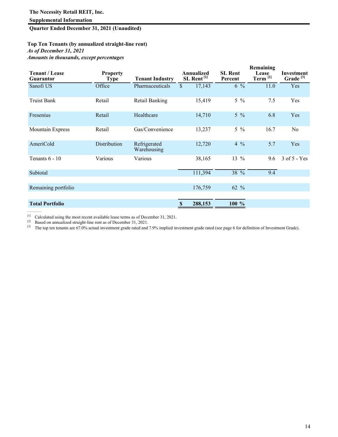### **Quarter Ended December 31, 2021 (Unaudited)**

### **Top Ten Tenants (by annualized straight-line rent)** *As of December 31, 2021 Amounts in thousands, except percentages*

| <b>Tenant / Lease</b><br><b>Guarantor</b> | <b>Property</b><br><b>Type</b> | <b>Tenant Industry</b>      |               | Annualized<br>SL Rent <sup>[1]</sup> | <b>SL Rent</b><br>Percent | Remaining<br>Lease<br>Term $[2]$ | Investment<br>Grade <sup>[3]</sup> |
|-------------------------------------------|--------------------------------|-----------------------------|---------------|--------------------------------------|---------------------------|----------------------------------|------------------------------------|
| Sanofi US                                 | Office                         | Pharmaceuticals             | $\mathbb{S}$  | 17,143                               | $6\%$                     | 11.0                             | Yes                                |
| <b>Truist Bank</b>                        | Retail                         | Retail Banking              |               | 15,419                               | $5\%$                     | 7.5                              | Yes                                |
| Fresenius                                 | Retail                         | Healthcare                  |               | 14,710                               | $5\%$                     | 6.8                              | Yes                                |
| Mountain Express                          | Retail                         | Gas/Convenience             |               | 13,237                               | $5\frac{9}{6}$            | 16.7                             | No                                 |
| AmeriCold                                 | Distribution                   | Refrigerated<br>Warehousing |               | 12,720                               | $4\frac{9}{6}$            | 5.7                              | Yes                                |
| Tenants $6 - 10$                          | Various                        | Various                     |               | 38,165                               | 13 $%$                    | 9.6                              | 3 of 5 - Yes                       |
| Subtotal                                  |                                |                             |               | 111,394                              | 38 %                      | 9.4                              |                                    |
| Remaining portfolio                       |                                |                             |               | 176,759                              | 62 %                      |                                  |                                    |
| <b>Total Portfolio</b>                    |                                |                             | <sup>\$</sup> | 288,153                              | 100 %                     |                                  |                                    |

 $[1]$  Calculated using the most recent available lease terms as of December 31, 2021.

 $[2]$  Based on annualized straight-line rent as of December 31, 2021.

<sup>[3]</sup> The top ten tenants are 67.0% actual investment grade rated and 7.9% implied investment grade rated (see page 6 for definition of Investment Grade).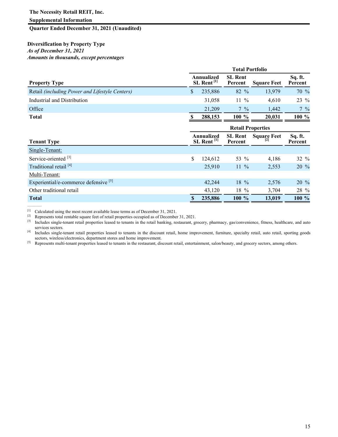### **Supplemental Information**

### **Quarter Ended December 31, 2021 (Unaudited)**

### **Diversification by Property Type** *As of December 31, 2021 Amounts in thousands, except percentages*

| <b>Total Portfolio</b>                 |         |                                        |                           |                          |  |  |  |  |
|----------------------------------------|---------|----------------------------------------|---------------------------|--------------------------|--|--|--|--|
| Annualized<br>$SL$ Rent <sup>[1]</sup> |         |                                        | <b>Square Feet</b>        | Sq. ft.<br>Percent       |  |  |  |  |
| \$                                     | 235,886 | 82 %                                   | 13,979                    | 70 %                     |  |  |  |  |
|                                        | 31,058  | $11\%$                                 | 4,610                     | 23 %                     |  |  |  |  |
|                                        | 21,209  | $7\frac{9}{6}$                         | 1,442                     | $7\frac{9}{6}$           |  |  |  |  |
|                                        | 288,153 | 100 %                                  | 20,031                    | 100 %                    |  |  |  |  |
|                                        |         |                                        |                           |                          |  |  |  |  |
|                                        |         | <b>SL Rent</b><br>Percent              | <b>Square Feet</b><br> 2  | Sq. ft.<br>Percent       |  |  |  |  |
|                                        |         |                                        |                           |                          |  |  |  |  |
| \$                                     | 124,612 | 53 %                                   | 4,186                     | $32 \%$                  |  |  |  |  |
|                                        | 25,910  | $11\%$                                 | 2,553                     | $20\%$                   |  |  |  |  |
|                                        |         |                                        |                           |                          |  |  |  |  |
|                                        | 42,244  | 18 %                                   | 2,576                     | 20 %                     |  |  |  |  |
|                                        | 43,120  | $18\%$                                 | 3,704                     | 28 %                     |  |  |  |  |
|                                        | 235,886 | 100 %                                  | 13,019                    | 100 %                    |  |  |  |  |
|                                        |         | Annualized<br>$SL$ Rent <sup>[1]</sup> | <b>SL Rent</b><br>Percent | <b>Retail Properties</b> |  |  |  |  |

[1] Calculated using the most recent available lease terms as of December 31, 2021.<br>[2] Represents total reptable square feet of retail properties occupied as of December

<sup>[2]</sup> Represents total rentable square feet of retail properties occupied as of December 31, 2021.<br><sup>[3]</sup> Includes single-tenant retail properties leased to tenants in the retail banking restaurant given

Includes single-tenant retail properties leased to tenants in the retail banking, restaurant, grocery, pharmacy, gas/convenience, fitness, healthcare, and auto services sectors.

[4] Includes single-tenant retail properties leased to tenants in the discount retail, home improvement, furniture, specialty retail, auto retail, sporting goods sectors, wireless/electronics, department stores and home improvement.

[5] Represents multi-tenant properties leased to tenants in the restaurant, discount retail, entertainment, salon/beauty, and grocery sectors, among others.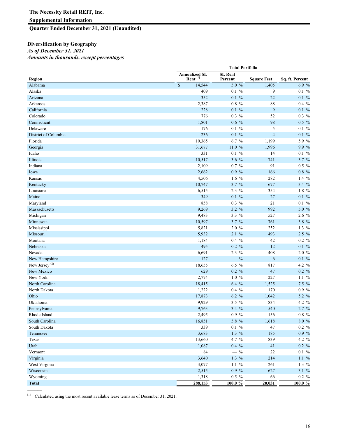### **Quarter Ended December 31, 2021 (Unaudited)**

### **Diversification by Geography** *As of December 31, 2021 Amounts in thousands, except percentages*

|                           | <b>Total Portfolio</b> |                                             |                           |                    |                 |
|---------------------------|------------------------|---------------------------------------------|---------------------------|--------------------|-----------------|
| Region                    |                        | <b>Annualized SL</b><br>Rent <sup>[1]</sup> | <b>SL Rent</b><br>Percent | <b>Square Feet</b> | Sq. ft. Percent |
| Alabama                   | $\overline{\$}$        | 14,544                                      | $5.0\%$                   | 1,405              | 6.9 %           |
| Alaska                    |                        | 409                                         | $0.1 \%$                  | 9                  | $0.1 \%$        |
| Arizona                   |                        | 352                                         | $0.1 \%$                  | 22                 | $0.1\%$         |
| Arkansas                  |                        | 2,387                                       | $0.8\%$                   | 88                 | $0.4\%$         |
| California                |                        | 228                                         | $0.1\%$                   | $\overline{9}$     | 0.1 %           |
| Colorado                  |                        | 776                                         | $0.3\%$                   | 52                 | 0.3 %           |
| Connecticut               |                        | 1,801                                       | $0.6\%$                   | 98                 | $0.5\%$         |
| Delaware                  |                        | 176                                         | $0.1 \%$                  | 5                  | $0.1 \%$        |
| District of Columbia      |                        | 236                                         | $0.1\%$                   | $\overline{4}$     | $0.1\%$         |
| Florida                   |                        | 19,365                                      | $6.7 \%$                  | 1,199              | 5.9 %           |
| Georgia                   |                        | 31,677                                      | 11.0 %                    | 1,996              | 9.9 %           |
| Idaho                     |                        | 331                                         | $0.1 \%$                  | 14                 | $0.1 \%$        |
| Illinois                  |                        | 10,517                                      | 3.6 %                     | 741                | $3.7 \%$        |
| Indiana                   |                        | 2,109                                       | 0.7 %                     | 91                 | $0.5\%$         |
| Iowa                      |                        | 2,662                                       | $0.9\%$                   | 166                | $0.8\%$         |
| Kansas                    |                        | 4,506                                       | 1.6 $%$                   | 282                | 1.4 $%$         |
| Kentucky                  |                        | 10,747                                      | 3.7 %                     | 677                | 3.4 %           |
| Louisiana                 |                        | 6,515                                       | 2.3 %                     | 354                | $1.8\%$         |
| Maine                     |                        | 349                                         | $0.1\%$                   | 27                 | 0.1 %           |
| Maryland                  |                        | 858                                         | $0.3\%$                   | 21                 | $0.1 \%$        |
| Massachusetts             |                        | 9,269                                       | 3.2 %                     | 992                | 5.0 %           |
| Michigan                  |                        | 9,483                                       | 3.3 %                     | 527                | $2.6\%$         |
| Minnesota                 |                        | 10,597                                      | 3.7 %                     | 761                | 3.8 %           |
| Mississippi               |                        | 5,821                                       | 2.0 %                     | 252                | 1.3 $%$         |
| Missouri                  |                        | 5,932                                       | 2.1 %                     | 493                | $2.5\%$         |
| Montana                   |                        | 1,184                                       | $0.4\%$                   | 42                 | 0.2 %           |
| Nebraska                  |                        | 495                                         | $0.2 \%$                  | 12                 | $0.1\%$         |
| Nevada                    |                        | 6,691                                       | $2.3\%$                   | 408                | 2.0%            |
| New Hampshire             |                        | 127                                         | $-$ %                     | 6                  | $0.1 \%$        |
| New Jersey <sup>(2)</sup> |                        | 18,655                                      | 6.5 %                     | 817                | 4.2 %           |
| New Mexico                |                        | 629                                         | 0.2 %                     | 47                 | 0.2 %           |
| New York                  |                        | 2,774                                       | $1.0 \%$                  | 227                | $1.1\%$         |
| North Carolina            |                        | 18,415                                      | $6.4\%$                   | 1,525              | 7.5 %           |
| North Dakota              |                        | 1,222                                       | $0.4\%$                   | 170                | 0.9 %           |
| Ohio                      |                        | 17,873                                      | 6.2 %                     | 1,042              | 5.2 $%$         |
| Oklahoma                  |                        | 9,929                                       | $3.5 \%$                  | 834                | 4.2 $%$         |
| Pennsylvania              |                        | 9,763                                       | 3.4%                      | 540                | 2.7 %           |
| Rhode Island              |                        | 2,495                                       | 0.9 %                     | 156                | $0.8\,%$        |
| South Carolina            |                        | 16,851                                      | 5.8 %                     | 1,618              | 8.0 %           |
| South Dakota              |                        | 339                                         | $0.1 \%$                  | 47                 | 0.2 %           |
| Tennessee                 |                        | 3,683                                       | $1.3\%$                   | 185                | 0.9 %           |
| Texas                     |                        | 13,660                                      | 4.7 %                     | 839                | 4.2 %           |
| Utah                      |                        | 1,087                                       | $0.4\%$                   | 41                 | 0.2 %           |
| Vermont                   |                        | 84                                          | $ \%$                     | 22                 | $0.1\%$         |
| Virginia                  |                        | 3,640                                       | $1.3\%$                   | 214                | 1.1%            |
| West Virginia             |                        | 3,077                                       | $1.1~\%$                  | 261                | 1.3 $%$         |
| Wisconsin                 |                        | 2,515                                       | 0.9 %                     | 627                | 3.1 %           |
| Wyoming                   |                        | 1,318                                       | $0.5\%$                   | 66                 | 0.2 %           |
| <b>Total</b>              |                        | 288,153                                     | $100.0 \%$                | 20,031             | 100.0 %         |

[1] Calculated using the most recent available lease terms as of December 31, 2021.